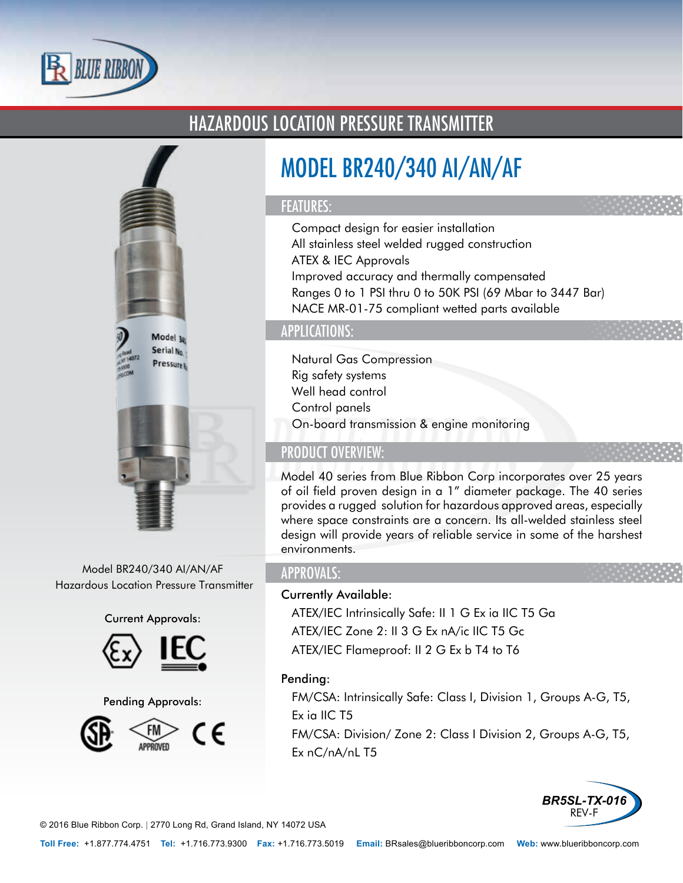

# HAZARDOUS LOCATION PRESSURE TRANSMITTER



Model BR240/340 AI/AN/AF Hazardous Location Pressure Transmitter

#### Current Approvals:





Pending Approvals:



# MODEL BR240/340 AI/AN/AF

#### FEATURES:

- Compact design for easier installation
- All stainless steel welded rugged construction
- ATEX & IEC Approvals
- Improved accuracy and thermally compensated
- Ranges 0 to 1 PSI thru 0 to 50K PSI (69 Mbar to 3447 Bar)
- NACE MR-01-75 compliant wetted parts available

## APPLICATIONS:

- Natural Gas Compression
- Rig safety systems
- Well head control
- Control panels
- On-board transmission & engine monitoring

## PRODUCT OVERVIEW:

Model 40 series from Blue Ribbon Corp incorporates over 25 years of oil field proven design in a 1" diameter package. The 40 series provides a rugged solution for hazardous approved areas, especially where space constraints are a concern. Its all-welded stainless steel design will provide years of reliable service in some of the harshest environments.

### APPROVALS:

#### Currently Available:

- ATEX/IEC Intrinsically Safe: II 1 G Ex ia IIC T5 Ga
- ATEX/IEC Zone 2: II 3 G Ex nA/ic IIC T5 Gc
- ATEX/IEC Flameproof: II 2 G Ex b T4 to T6

#### Pending:

- FM/CSA: Intrinsically Safe: Class I, Division 1, Groups A-G, T5, Ex ia IIC T5
- FM/CSA: Division/ Zone 2: Class I Division 2, Groups A-G, T5, Ex nC/nA/nL T5



© 2016 Blue Ribbon Corp. *<sup>|</sup>* 2770 Long Rd, Grand Island, NY 14072 USA